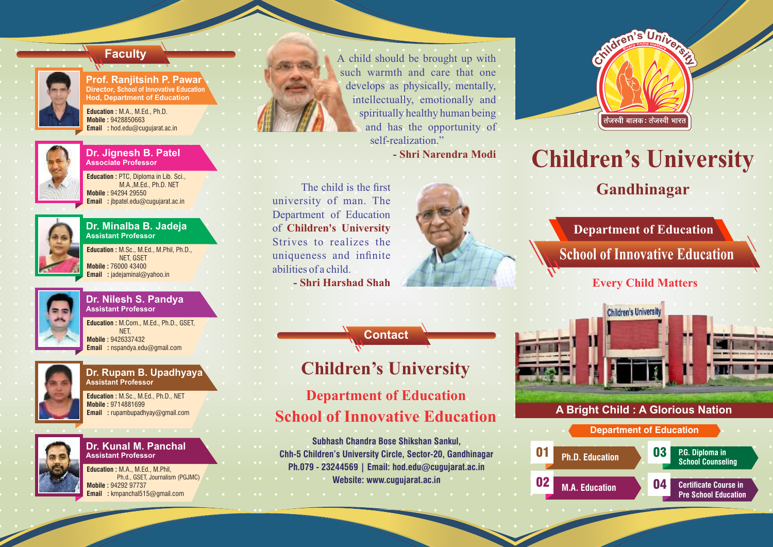

**Prof. Ranjitsinh P. Pawar Director, School of Innovative Education Hod, Department of Education**

**Education :** M.A., M.Ed., Ph.D. **Mobile :** 9428850663 **Email :** hod.edu@cugujarat.ac.in



#### **Dr. Jignesh B. Patel Associate Professor**

**Education :** PTC, Diploma in Lib. Sci., M.A.,M.Ed., Ph.D. NET **Mobile :** 94294 29550 **Email :** jbpatel.edu@cugujarat.ac.in



#### **Dr. Minalba B. Jadeja Assistant Professor**

**Education :** M.Sc., M.Ed., M.Phil, Ph.D., NET, GSET **Mobile :** 76000 43400 **Email :** jadejaminal@yahoo.in



### **Dr. Nilesh S. Pandya Assistant Professor**

**Education :** M.Com., M.Ed., Ph.D., GSET, NET, **Mobile :** 9426337432 **Email :** nspandya.edu@gmail.com



#### **Dr. Rupam B. Upadhyaya Assistant Professor**

**Education :** M.Sc., M.Ed., Ph.D., NET **Mobile :** 9714881699 **Email :** rupambupadhyay@gmail.com



#### **Dr. Kunal M. Panchal Assistant Professor**

**Education :** M.A., M.Ed., M.Phil, Ph.d., GSET, Journalism (PGJMC) **Mobile :** 94292 97737 **Email :** kmpanchal515@gmail.com



**Faculty A** child should be brought up with such warmth and care that one develops as physically, mentally, intellectually, emotionally and spiritually healthy human being and has the opportunity of self-realization."

**- Shri Narendra Modi**

 The child is the first university of man. The Department of Education of **Children's University** Strives to realizes the uniqueness and infinite abilities of a child. **- Shri Harshad Shah**



**Contact**

# **Children's University**

**Department of Education School of Innovative Education**

**Subhash Chandra Bose Shikshan Sankul, Chh-5 Children's University Circle, Sector-20, Gandhinagar Ph.079 - 23244569 | Email: hod.edu@cugujarat.ac.in**

## **Website: www.cugujarat.ac.in**



# **Children's University**

**Gandhinagar**

**Department of Education School of Innovative Education**

**Every Child Matters**



## **A Bright Child : A Glorious Nation**